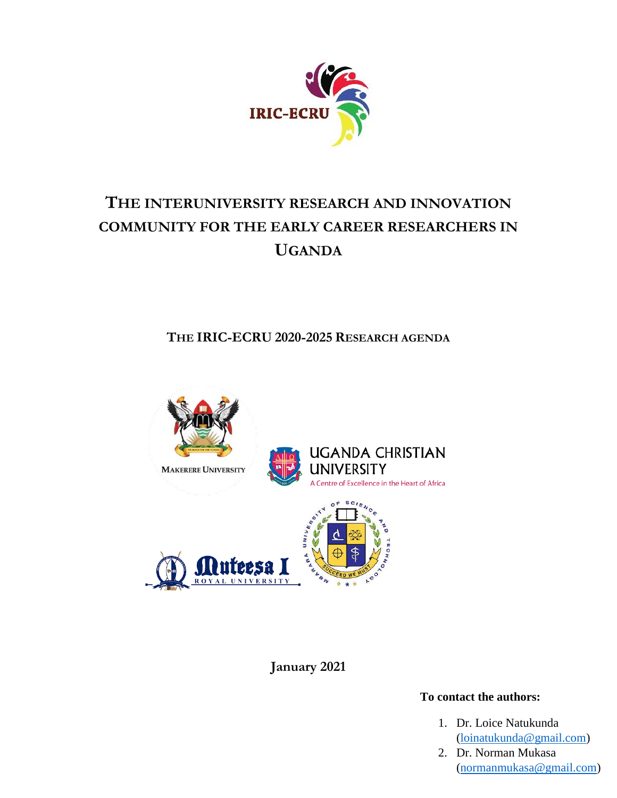

# **THE INTERUNIVERSITY RESEARCH AND INNOVATION COMMUNITY FOR THE EARLY CAREER RESEARCHERS IN UGANDA**

**THE IRIC-ECRU 2020-2025 RESEARCH AGENDA**



**January 2021**

## **To contact the authors:**

- [\(loinatukunda@gmail.com\)](file:///C:/Users/user/Desktop/Documents%20for%20the%20website/loinatukunda@gmail.com) 1. Dr. Loice Natukunda
- 2. Dr. Norman Mukasa [\(normanmukasa@gmail.com\)](file:///C:/Users/user/Desktop/Documents%20for%20the%20website/normanmukasa@gmail.com)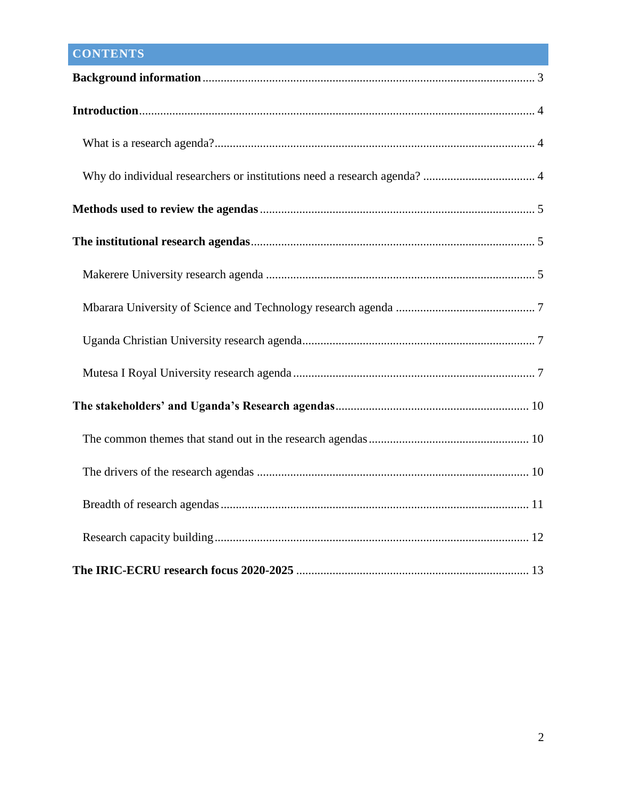## **CONTENTS**

| 13 |
|----|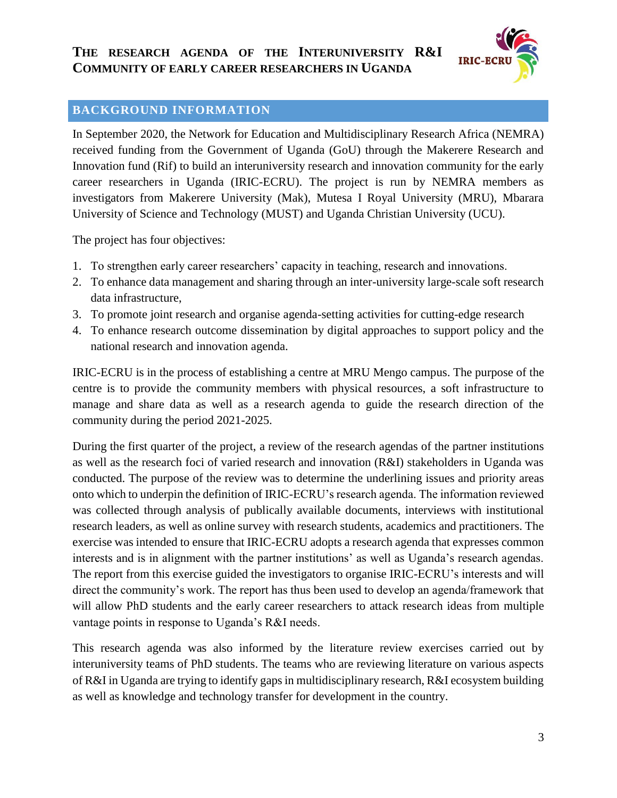

## <span id="page-2-0"></span>**BACKGROUND INFORMATION**

In September 2020, the Network for Education and Multidisciplinary Research Africa (NEMRA) received funding from the Government of Uganda (GoU) through the Makerere Research and Innovation fund (Rif) to build an interuniversity research and innovation community for the early career researchers in Uganda (IRIC-ECRU). The project is run by NEMRA members as investigators from Makerere University (Mak), Mutesa I Royal University (MRU), Mbarara University of Science and Technology (MUST) and Uganda Christian University (UCU).

The project has four objectives:

- 1. To strengthen early career researchers' capacity in teaching, research and innovations.
- 2. To enhance data management and sharing through an inter-university large-scale soft research data infrastructure,
- 3. To promote joint research and organise agenda-setting activities for cutting-edge research
- 4. To enhance research outcome dissemination by digital approaches to support policy and the national research and innovation agenda.

IRIC-ECRU is in the process of establishing a centre at MRU Mengo campus. The purpose of the centre is to provide the community members with physical resources, a soft infrastructure to manage and share data as well as a research agenda to guide the research direction of the community during the period 2021-2025.

During the first quarter of the project, a review of the research agendas of the partner institutions as well as the research foci of varied research and innovation (R&I) stakeholders in Uganda was conducted. The purpose of the review was to determine the underlining issues and priority areas onto which to underpin the definition of IRIC-ECRU's research agenda. The information reviewed was collected through analysis of publically available documents, interviews with institutional research leaders, as well as online survey with research students, academics and practitioners. The exercise was intended to ensure that IRIC-ECRU adopts a research agenda that expresses common interests and is in alignment with the partner institutions' as well as Uganda's research agendas. The report from this exercise guided the investigators to organise IRIC-ECRU's interests and will direct the community's work. The report has thus been used to develop an agenda/framework that will allow PhD students and the early career researchers to attack research ideas from multiple vantage points in response to Uganda's R&I needs.

This research agenda was also informed by the literature review exercises carried out by interuniversity teams of PhD students. The teams who are reviewing literature on various aspects of R&I in Uganda are trying to identify gaps in multidisciplinary research, R&I ecosystem building as well as knowledge and technology transfer for development in the country.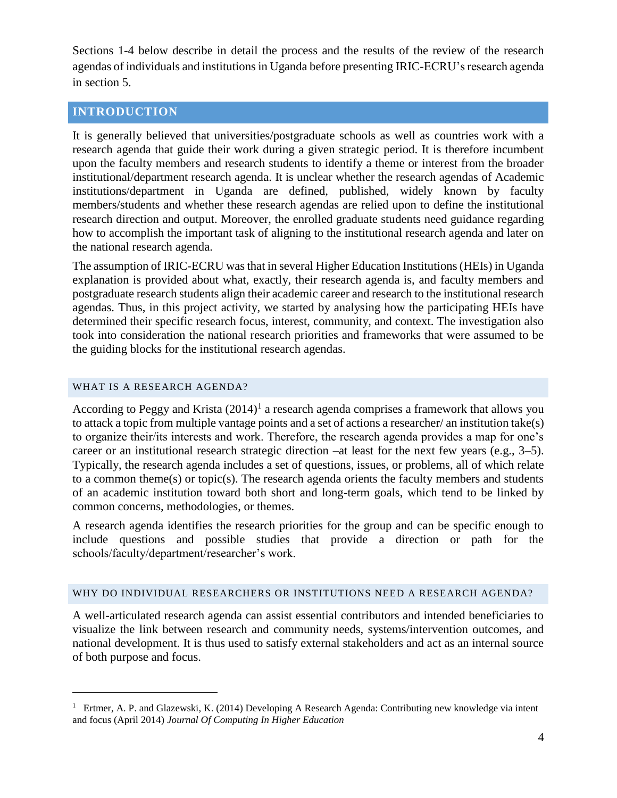Sections 1-4 below describe in detail the process and the results of the review of the research agendas of individuals and institutions in Uganda before presenting IRIC-ECRU's research agenda in section 5.

## <span id="page-3-0"></span>**INTRODUCTION**

It is generally believed that universities/postgraduate schools as well as countries work with a research agenda that guide their work during a given strategic period. It is therefore incumbent upon the faculty members and research students to identify a theme or interest from the broader institutional/department research agenda. It is unclear whether the research agendas of Academic institutions/department in Uganda are defined, published, widely known by faculty members/students and whether these research agendas are relied upon to define the institutional research direction and output. Moreover, the enrolled graduate students need guidance regarding how to accomplish the important task of aligning to the institutional research agenda and later on the national research agenda.

The assumption of IRIC-ECRU was that in several Higher Education Institutions (HEIs) in Uganda explanation is provided about what, exactly, their research agenda is, and faculty members and postgraduate research students align their academic career and research to the institutional research agendas. Thus, in this project activity, we started by analysing how the participating HEIs have determined their specific research focus, interest, community, and context. The investigation also took into consideration the national research priorities and frameworks that were assumed to be the guiding blocks for the institutional research agendas.

#### <span id="page-3-1"></span>WHAT IS A RESEARCH AGENDA?

 $\overline{a}$ 

According to Peggy and Krista  $(2014)^1$  a research agenda comprises a framework that allows you to attack a topic from multiple vantage points and a set of actions a researcher/ an institution take(s) to organize their/its interests and work. Therefore, the research agenda provides a map for one's career or an institutional research strategic direction –at least for the next few years (e.g., 3–5). Typically, the research agenda includes a set of questions, issues, or problems, all of which relate to a common theme(s) or topic(s). The research agenda orients the faculty members and students of an academic institution toward both short and long-term goals, which tend to be linked by common concerns, methodologies, or themes.

A research agenda identifies the research priorities for the group and can be specific enough to include questions and possible studies that provide a direction or path for the schools/faculty/department/researcher's work.

#### <span id="page-3-2"></span>WHY DO INDIVIDUAL RESEARCHERS OR INSTITUTIONS NEED A RESEARCH AGENDA?

A well-articulated research agenda can assist essential contributors and intended beneficiaries to visualize the link between research and community needs, systems/intervention outcomes, and national development. It is thus used to satisfy external stakeholders and act as an internal source of both purpose and focus.

<sup>&</sup>lt;sup>1</sup> Ertmer, A. P. and Glazewski, K. (2014) Developing A Research Agenda: Contributing new knowledge via intent and focus (April 2014) *Journal Of Computing In Higher Education*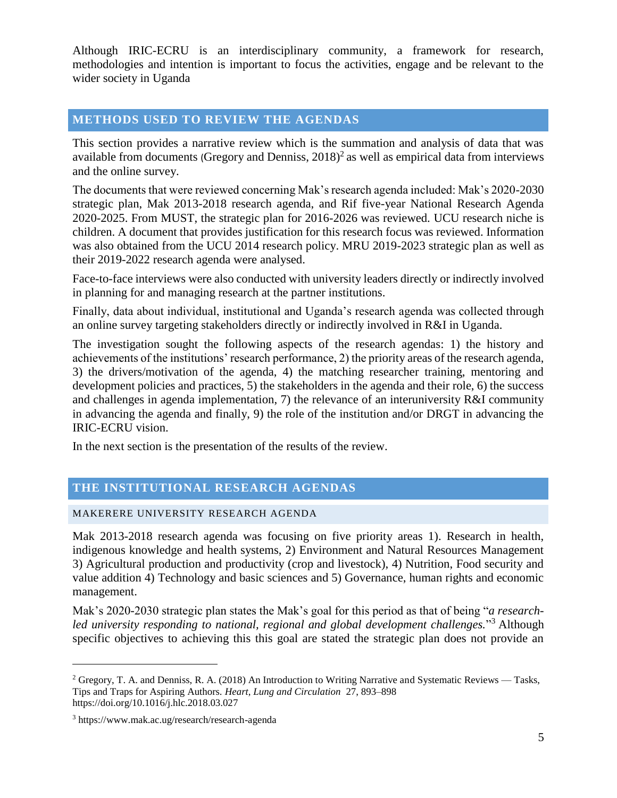Although IRIC-ECRU is an interdisciplinary community, a framework for research, methodologies and intention is important to focus the activities, engage and be relevant to the wider society in Uganda

## <span id="page-4-0"></span>**METHODS USED TO REVIEW THE AGENDAS**

This section provides a narrative review which is the summation and analysis of data that was available from documents (Gregory and Denniss,  $2018)^2$  as well as empirical data from interviews and the online survey.

The documents that were reviewed concerning Mak's research agenda included: Mak's 2020-2030 strategic plan, Mak 2013-2018 research agenda, and Rif five-year National Research Agenda 2020-2025. From MUST, the strategic plan for 2016-2026 was reviewed. UCU research niche is children. A document that provides justification for this research focus was reviewed. Information was also obtained from the UCU 2014 research policy. MRU 2019-2023 strategic plan as well as their 2019-2022 research agenda were analysed.

Face-to-face interviews were also conducted with university leaders directly or indirectly involved in planning for and managing research at the partner institutions.

Finally, data about individual, institutional and Uganda's research agenda was collected through an online survey targeting stakeholders directly or indirectly involved in R&I in Uganda.

The investigation sought the following aspects of the research agendas: 1) the history and achievements of the institutions' research performance, 2) the priority areas of the research agenda, 3) the drivers/motivation of the agenda, 4) the matching researcher training, mentoring and development policies and practices, 5) the stakeholders in the agenda and their role, 6) the success and challenges in agenda implementation, 7) the relevance of an interuniversity R&I community in advancing the agenda and finally, 9) the role of the institution and/or DRGT in advancing the IRIC-ECRU vision.

In the next section is the presentation of the results of the review.

### <span id="page-4-1"></span>**THE INSTITUTIONAL RESEARCH AGENDAS**

#### <span id="page-4-2"></span>MAKERERE UNIVERSITY RESEARCH AGENDA

Mak 2013-2018 research agenda was focusing on five priority areas 1). Research in health, indigenous knowledge and health systems, 2) Environment and Natural Resources Management 3) Agricultural production and productivity (crop and livestock), 4) Nutrition, Food security and value addition 4) Technology and basic sciences and 5) Governance, human rights and economic management.

Mak's 2020-2030 strategic plan states the Mak's goal for this period as that of being "*a researchled university responding to national, regional and global development challenges.*" <sup>3</sup> Although specific objectives to achieving this this goal are stated the strategic plan does not provide an

 $\overline{a}$ 

<sup>&</sup>lt;sup>2</sup> Gregory, T. A. and Denniss, R. A. (2018) An Introduction to Writing Narrative and Systematic Reviews — Tasks, Tips and Traps for Aspiring Authors. *Heart, Lung and Circulation* 27, 893–898 https://doi.org/10.1016/j.hlc.2018.03.027

<sup>3</sup> https://www.mak.ac.ug/research/research-agenda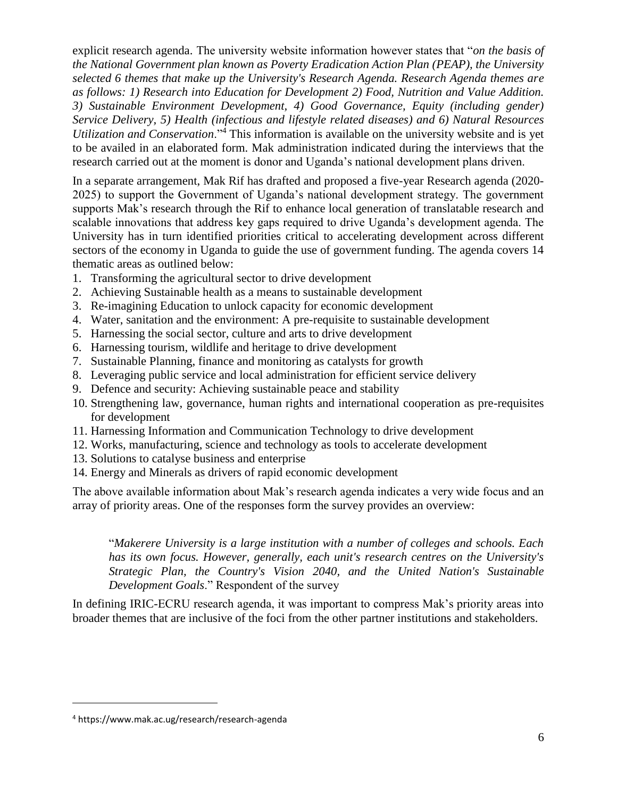explicit research agenda. The university website information however states that "*on the basis of the National Government plan known as Poverty Eradication Action Plan (PEAP), the University selected 6 themes that make up the University's Research Agenda. Research Agenda themes are as follows: 1) Research into Education for Development 2) Food, Nutrition and Value Addition. 3) Sustainable Environment Development, 4) Good Governance, Equity (including gender) Service Delivery, 5) Health (infectious and lifestyle related diseases) and 6) Natural Resources Utilization and Conservation*."<sup>4</sup> This information is available on the university website and is yet to be availed in an elaborated form. Mak administration indicated during the interviews that the research carried out at the moment is donor and Uganda's national development plans driven.

In a separate arrangement, Mak Rif has drafted and proposed a five-year Research agenda (2020- 2025) to support the Government of Uganda's national development strategy. The government supports Mak's research through the Rif to enhance local generation of translatable research and scalable innovations that address key gaps required to drive Uganda's development agenda. The University has in turn identified priorities critical to accelerating development across different sectors of the economy in Uganda to guide the use of government funding. The agenda covers 14 thematic areas as outlined below:

- 1. Transforming the agricultural sector to drive development
- 2. Achieving Sustainable health as a means to sustainable development
- 3. Re-imagining Education to unlock capacity for economic development
- 4. Water, sanitation and the environment: A pre-requisite to sustainable development
- 5. Harnessing the social sector, culture and arts to drive development
- 6. Harnessing tourism, wildlife and heritage to drive development
- 7. Sustainable Planning, finance and monitoring as catalysts for growth
- 8. Leveraging public service and local administration for efficient service delivery
- 9. Defence and security: Achieving sustainable peace and stability
- 10. Strengthening law, governance, human rights and international cooperation as pre-requisites for development
- 11. Harnessing Information and Communication Technology to drive development
- 12. Works, manufacturing, science and technology as tools to accelerate development
- 13. Solutions to catalyse business and enterprise
- 14. Energy and Minerals as drivers of rapid economic development

The above available information about Mak's research agenda indicates a very wide focus and an array of priority areas. One of the responses form the survey provides an overview:

"*Makerere University is a large institution with a number of colleges and schools. Each has its own focus. However, generally, each unit's research centres on the University's Strategic Plan, the Country's Vision 2040, and the United Nation's Sustainable Development Goals*." Respondent of the survey

In defining IRIC-ECRU research agenda, it was important to compress Mak's priority areas into broader themes that are inclusive of the foci from the other partner institutions and stakeholders.

 $\overline{a}$ 

<sup>4</sup> https://www.mak.ac.ug/research/research-agenda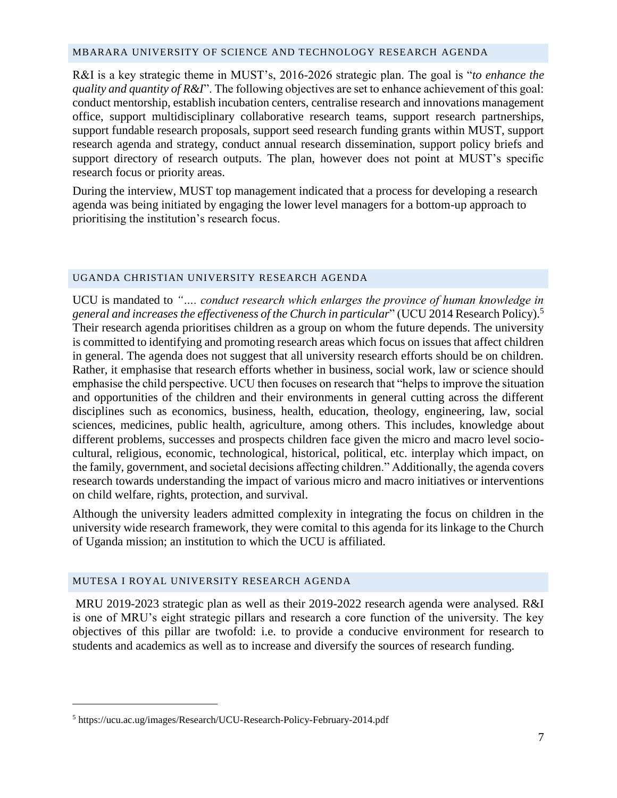#### <span id="page-6-0"></span>MBARARA UNIVERSITY OF SCIENCE AND TECHNOLOGY RESEARCH AGENDA

R&I is a key strategic theme in MUST's, 2016-2026 strategic plan. The goal is "*to enhance the quality and quantity of R&I*". The following objectives are set to enhance achievement of this goal: conduct mentorship, establish incubation centers, centralise research and innovations management office, support multidisciplinary collaborative research teams, support research partnerships, support fundable research proposals, support seed research funding grants within MUST, support research agenda and strategy, conduct annual research dissemination, support policy briefs and support directory of research outputs. The plan, however does not point at MUST's specific research focus or priority areas.

During the interview, MUST top management indicated that a process for developing a research agenda was being initiated by engaging the lower level managers for a bottom-up approach to prioritising the institution's research focus.

#### <span id="page-6-1"></span>UGANDA CHRISTIAN UNIVERSITY RESEARCH AGENDA

UCU is mandated to *"…. conduct research which enlarges the province of human knowledge in general and increases the effectiveness of the Church in particular*" (UCU 2014 Research Policy).<sup>5</sup> Their research agenda prioritises children as a group on whom the future depends. The university is committed to identifying and promoting research areas which focus on issues that affect children in general. The agenda does not suggest that all university research efforts should be on children. Rather, it emphasise that research efforts whether in business, social work, law or science should emphasise the child perspective. UCU then focuses on research that "helps to improve the situation and opportunities of the children and their environments in general cutting across the different disciplines such as economics, business, health, education, theology, engineering, law, social sciences, medicines, public health, agriculture, among others. This includes, knowledge about different problems, successes and prospects children face given the micro and macro level sociocultural, religious, economic, technological, historical, political, etc. interplay which impact, on the family, government, and societal decisions affecting children." Additionally, the agenda covers research towards understanding the impact of various micro and macro initiatives or interventions on child welfare, rights, protection, and survival.

Although the university leaders admitted complexity in integrating the focus on children in the university wide research framework, they were comital to this agenda for its linkage to the Church of Uganda mission; an institution to which the UCU is affiliated.

#### <span id="page-6-2"></span>MUTESA I ROYAL UNIVERSITY RESEARCH AGENDA

MRU 2019-2023 strategic plan as well as their 2019-2022 research agenda were analysed. R&I is one of MRU's eight strategic pillars and research a core function of the university. The key objectives of this pillar are twofold: i.e. to provide a conducive environment for research to students and academics as well as to increase and diversify the sources of research funding.

 $\overline{a}$ 

<sup>5</sup> https://ucu.ac.ug/images/Research/UCU-Research-Policy-February-2014.pdf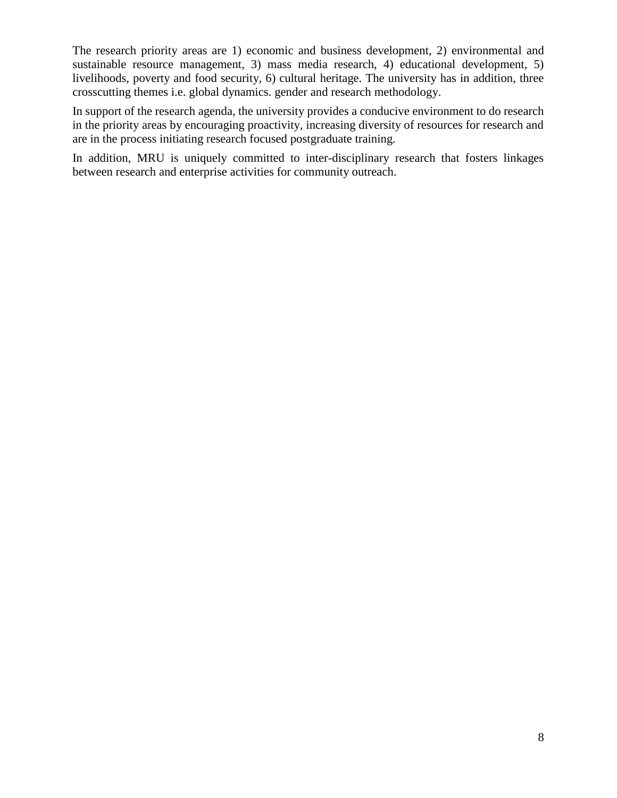The research priority areas are 1) economic and business development, 2) environmental and sustainable resource management, 3) mass media research, 4) educational development, 5) livelihoods, poverty and food security, 6) cultural heritage. The university has in addition, three crosscutting themes i.e. global dynamics. gender and research methodology.

In support of the research agenda, the university provides a conducive environment to do research in the priority areas by encouraging proactivity, increasing diversity of resources for research and are in the process initiating research focused postgraduate training.

In addition, MRU is uniquely committed to inter-disciplinary research that fosters linkages between research and enterprise activities for community outreach.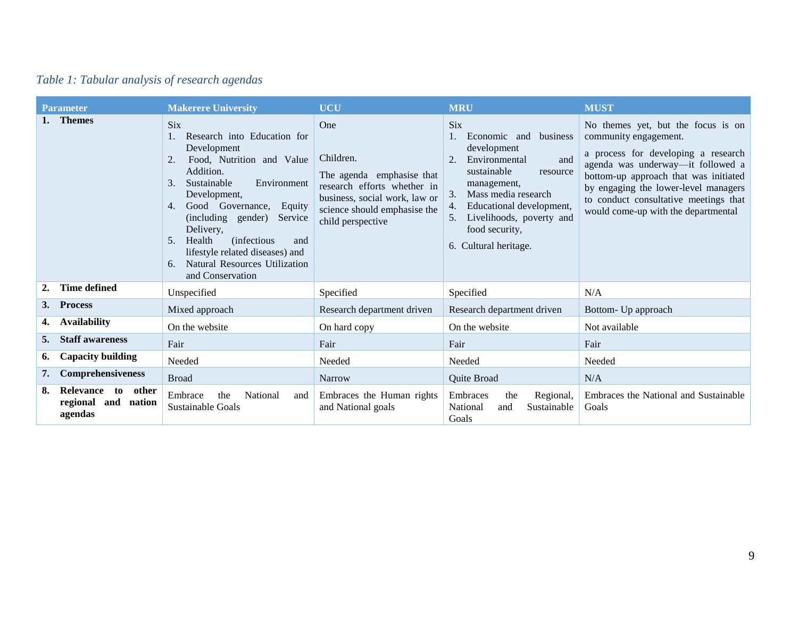|  |  | Table 1: Tabular analysis of research agendas |  |
|--|--|-----------------------------------------------|--|
|  |  |                                               |  |

|    | <b>Parameter</b>                                     | <b>Makerere University</b>                                                                                                                                                                                                                                                                                                                                                                              | <b>UCU</b>                                                                                                                                                         | <b>MRU</b>                                                                                                                                                                                                                                           | <b>MUST</b>                                                                                                                                                                                                                                                                                              |
|----|------------------------------------------------------|---------------------------------------------------------------------------------------------------------------------------------------------------------------------------------------------------------------------------------------------------------------------------------------------------------------------------------------------------------------------------------------------------------|--------------------------------------------------------------------------------------------------------------------------------------------------------------------|------------------------------------------------------------------------------------------------------------------------------------------------------------------------------------------------------------------------------------------------------|----------------------------------------------------------------------------------------------------------------------------------------------------------------------------------------------------------------------------------------------------------------------------------------------------------|
|    | 1. Themes                                            | <b>Six</b><br>Research into Education for<br>1.<br>Development<br>Food, Nutrition and Value<br>2.<br>Addition.<br>Sustainable<br>Environment<br>3.<br>Development,<br>Good Governance,<br>4.<br>Equity<br>(including gender)<br>Service<br>Delivery,<br>Health<br><i>(infectious)</i><br>5.<br>and<br>lifestyle related diseases) and<br><b>Natural Resources Utilization</b><br>6.<br>and Conservation | One<br>Children.<br>The agenda emphasise that<br>research efforts whether in<br>business, social work, law or<br>science should emphasise the<br>child perspective | <b>Six</b><br>Economic and business<br>development<br>Environmental<br>and<br>sustainable<br>resource<br>management,<br>Mass media research<br>3.<br>Educational development,<br>Livelihoods, poverty and<br>food security.<br>6. Cultural heritage. | No themes yet, but the focus is on<br>community engagement.<br>a process for developing a research<br>agenda was underway-it followed a<br>bottom-up approach that was initiated<br>by engaging the lower-level managers<br>to conduct consultative meetings that<br>would come-up with the departmental |
| 2. | <b>Time defined</b>                                  | Unspecified                                                                                                                                                                                                                                                                                                                                                                                             | Specified                                                                                                                                                          | Specified                                                                                                                                                                                                                                            | N/A                                                                                                                                                                                                                                                                                                      |
|    | 3. Process                                           | Mixed approach                                                                                                                                                                                                                                                                                                                                                                                          | Research department driven                                                                                                                                         | Research department driven                                                                                                                                                                                                                           | Bottom- Up approach                                                                                                                                                                                                                                                                                      |
| 4. | <b>Availability</b>                                  | On the website                                                                                                                                                                                                                                                                                                                                                                                          | On hard copy                                                                                                                                                       | On the website                                                                                                                                                                                                                                       | Not available                                                                                                                                                                                                                                                                                            |
| 5. | <b>Staff awareness</b>                               | Fair                                                                                                                                                                                                                                                                                                                                                                                                    | Fair                                                                                                                                                               | Fair                                                                                                                                                                                                                                                 | Fair                                                                                                                                                                                                                                                                                                     |
| 6. | <b>Capacity building</b>                             | Needed                                                                                                                                                                                                                                                                                                                                                                                                  | Needed                                                                                                                                                             | Needed                                                                                                                                                                                                                                               | Needed                                                                                                                                                                                                                                                                                                   |
| 7. | <b>Comprehensiveness</b>                             | <b>Broad</b>                                                                                                                                                                                                                                                                                                                                                                                            | <b>Narrow</b>                                                                                                                                                      | Quite Broad                                                                                                                                                                                                                                          | N/A                                                                                                                                                                                                                                                                                                      |
| 8. | Relevance to other<br>regional and nation<br>agendas | Embrace<br>the<br>National<br>and<br>Sustainable Goals                                                                                                                                                                                                                                                                                                                                                  | Embraces the Human rights<br>and National goals                                                                                                                    | Embraces<br>the<br>Regional,<br>Sustainable<br>National<br>and<br>Goals                                                                                                                                                                              | Embraces the National and Sustainable<br>Goals                                                                                                                                                                                                                                                           |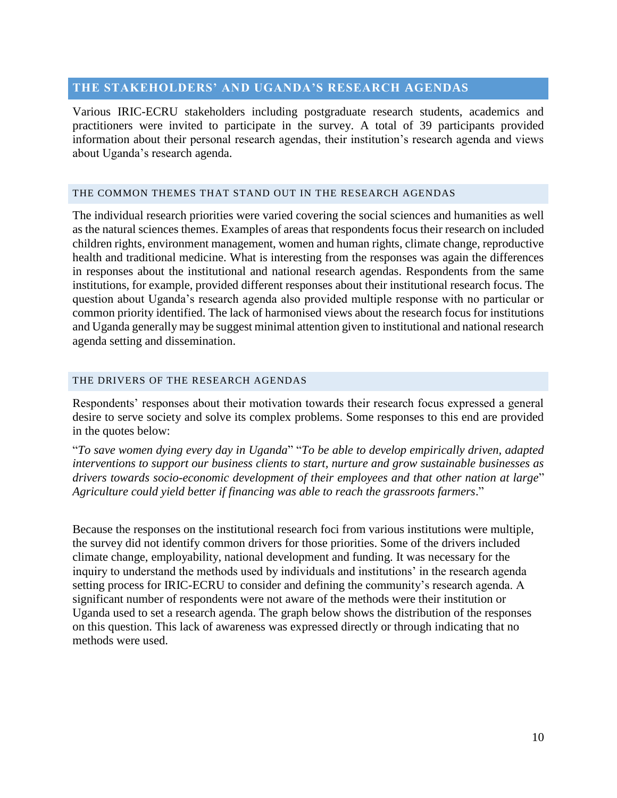#### <span id="page-9-0"></span>**THE STAKEHOLDERS' AND UGANDA'S RESEARCH AGENDAS**

Various IRIC-ECRU stakeholders including postgraduate research students, academics and practitioners were invited to participate in the survey. A total of 39 participants provided information about their personal research agendas, their institution's research agenda and views about Uganda's research agenda.

#### <span id="page-9-1"></span>THE COMMON THEMES THAT STAND OUT IN THE RESEARCH AGENDAS

The individual research priorities were varied covering the social sciences and humanities as well as the natural sciences themes. Examples of areas that respondents focus their research on included children rights, environment management, women and human rights, climate change, reproductive health and traditional medicine. What is interesting from the responses was again the differences in responses about the institutional and national research agendas. Respondents from the same institutions, for example, provided different responses about their institutional research focus. The question about Uganda's research agenda also provided multiple response with no particular or common priority identified. The lack of harmonised views about the research focus for institutions and Uganda generally may be suggest minimal attention given to institutional and national research agenda setting and dissemination.

#### <span id="page-9-2"></span>THE DRIVERS OF THE RESEARCH AGENDAS

Respondents' responses about their motivation towards their research focus expressed a general desire to serve society and solve its complex problems. Some responses to this end are provided in the quotes below:

"*To save women dying every day in Uganda*" "*To be able to develop empirically driven, adapted interventions to support our business clients to start, nurture and grow sustainable businesses as drivers towards socio-economic development of their employees and that other nation at large*" *Agriculture could yield better if financing was able to reach the grassroots farmers*."

Because the responses on the institutional research foci from various institutions were multiple, the survey did not identify common drivers for those priorities. Some of the drivers included climate change, employability, national development and funding. It was necessary for the inquiry to understand the methods used by individuals and institutions' in the research agenda setting process for IRIC-ECRU to consider and defining the community's research agenda. A significant number of respondents were not aware of the methods were their institution or Uganda used to set a research agenda. The graph below shows the distribution of the responses on this question. This lack of awareness was expressed directly or through indicating that no methods were used.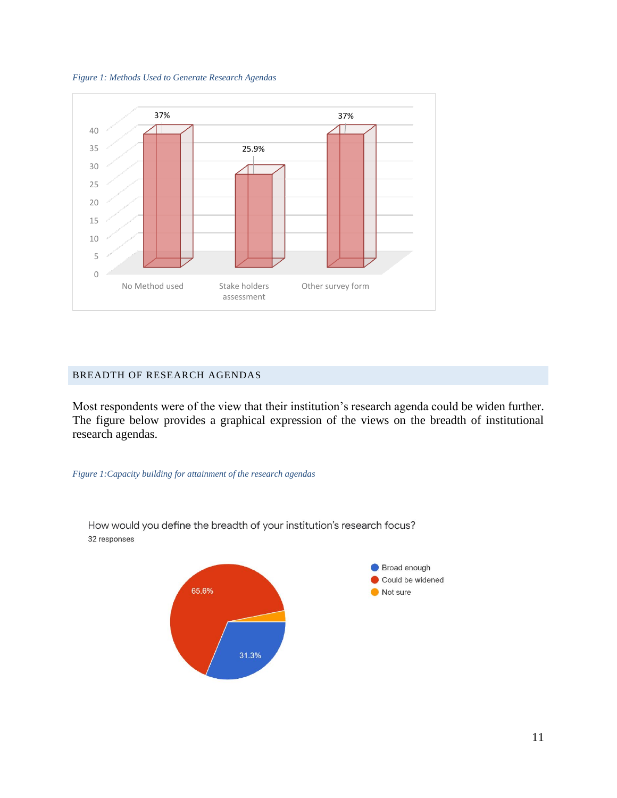



#### <span id="page-10-0"></span>BREADTH OF RESEARCH AGENDAS

Most respondents were of the view that their institution's research agenda could be widen further. The figure below provides a graphical expression of the views on the breadth of institutional research agendas.

#### *Figure 1:Capacity building for attainment of the research agendas*



How would you define the breadth of your institution's research focus? 32 responses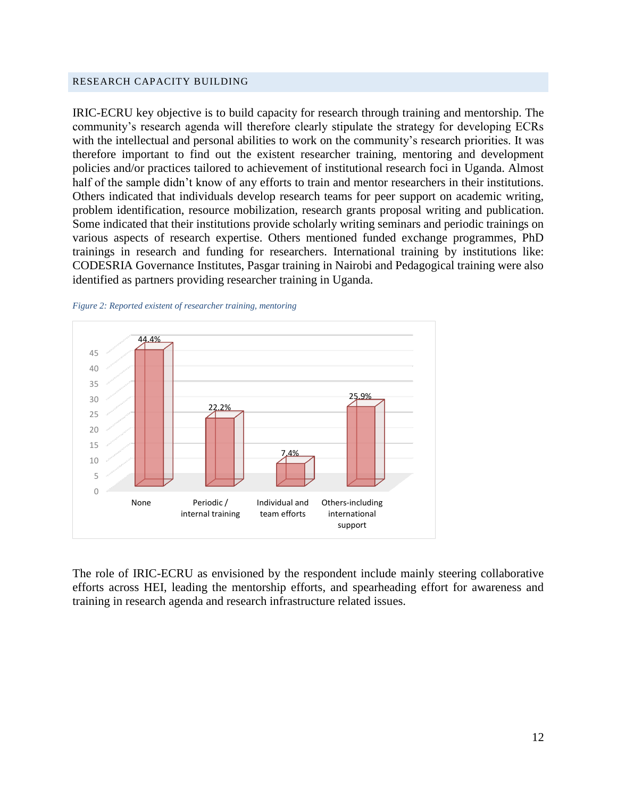#### <span id="page-11-0"></span>RESEARCH CAPACITY BUILDING

IRIC-ECRU key objective is to build capacity for research through training and mentorship. The community's research agenda will therefore clearly stipulate the strategy for developing ECRs with the intellectual and personal abilities to work on the community's research priorities. It was therefore important to find out the existent researcher training, mentoring and development policies and/or practices tailored to achievement of institutional research foci in Uganda. Almost half of the sample didn't know of any efforts to train and mentor researchers in their institutions. Others indicated that individuals develop research teams for peer support on academic writing, problem identification, resource mobilization, research grants proposal writing and publication. Some indicated that their institutions provide scholarly writing seminars and periodic trainings on various aspects of research expertise. Others mentioned funded exchange programmes, PhD trainings in research and funding for researchers. International training by institutions like: CODESRIA Governance Institutes, Pasgar training in Nairobi and Pedagogical training were also identified as partners providing researcher training in Uganda.





The role of IRIC-ECRU as envisioned by the respondent include mainly steering collaborative efforts across HEI, leading the mentorship efforts, and spearheading effort for awareness and training in research agenda and research infrastructure related issues.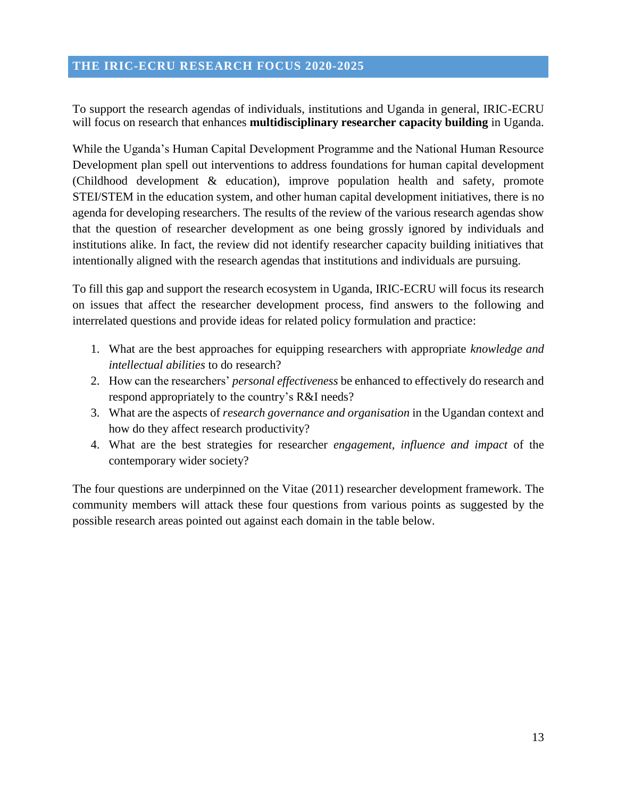#### <span id="page-12-0"></span>**THE IRIC-ECRU RESEARCH FOCUS 2020-2025**

To support the research agendas of individuals, institutions and Uganda in general, IRIC-ECRU will focus on research that enhances **multidisciplinary researcher capacity building** in Uganda.

While the Uganda's Human Capital Development Programme and the National Human Resource Development plan spell out interventions to address foundations for human capital development (Childhood development & education), improve population health and safety, promote STEI/STEM in the education system, and other human capital development initiatives, there is no agenda for developing researchers. The results of the review of the various research agendas show that the question of researcher development as one being grossly ignored by individuals and institutions alike. In fact, the review did not identify researcher capacity building initiatives that intentionally aligned with the research agendas that institutions and individuals are pursuing.

To fill this gap and support the research ecosystem in Uganda, IRIC-ECRU will focus its research on issues that affect the researcher development process, find answers to the following and interrelated questions and provide ideas for related policy formulation and practice:

- 1. What are the best approaches for equipping researchers with appropriate *knowledge and intellectual abilities* to do research?
- 2. How can the researchers' *personal effectiveness* be enhanced to effectively do research and respond appropriately to the country's R&I needs?
- 3. What are the aspects of *research governance and organisation* in the Ugandan context and how do they affect research productivity?
- 4. What are the best strategies for researcher *engagement, influence and impact* of the contemporary wider society?

The four questions are underpinned on the Vitae (2011) researcher development framework. The community members will attack these four questions from various points as suggested by the possible research areas pointed out against each domain in the table below.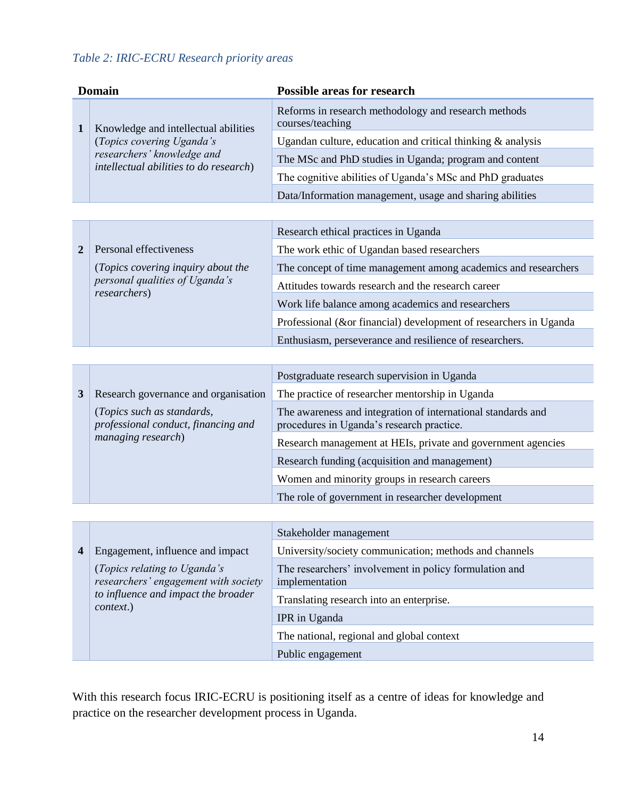## *Table 2: IRIC-ECRU Research priority areas*

| <b>Domain</b>  |                                                                      | <b>Possible areas for research</b>                                                                        |
|----------------|----------------------------------------------------------------------|-----------------------------------------------------------------------------------------------------------|
| $\mathbf{1}$   | Knowledge and intellectual abilities                                 | Reforms in research methodology and research methods<br>courses/teaching                                  |
|                | (Topics covering Uganda's                                            | Ugandan culture, education and critical thinking $\&$ analysis                                            |
|                | researchers' knowledge and<br>intellectual abilities to do research) | The MSc and PhD studies in Uganda; program and content                                                    |
|                |                                                                      | The cognitive abilities of Uganda's MSc and PhD graduates                                                 |
|                |                                                                      | Data/Information management, usage and sharing abilities                                                  |
|                |                                                                      |                                                                                                           |
|                |                                                                      | Research ethical practices in Uganda                                                                      |
| $\overline{2}$ | Personal effectiveness                                               | The work ethic of Ugandan based researchers                                                               |
|                | (Topics covering inquiry about the                                   | The concept of time management among academics and researchers                                            |
|                | personal qualities of Uganda's<br>researchers)                       | Attitudes towards research and the research career                                                        |
|                |                                                                      | Work life balance among academics and researchers                                                         |
|                |                                                                      | Professional (∨ financial) development of researchers in Uganda                                           |
|                |                                                                      | Enthusiasm, perseverance and resilience of researchers.                                                   |
|                |                                                                      |                                                                                                           |
|                |                                                                      | Postgraduate research supervision in Uganda                                                               |
| 3              | Research governance and organisation                                 | The practice of researcher mentorship in Uganda                                                           |
|                | (Topics such as standards,<br>professional conduct, financing and    | The awareness and integration of international standards and<br>procedures in Uganda's research practice. |
|                | managing research)                                                   | Research management at HEIs, private and government agencies                                              |
|                |                                                                      | Research funding (acquisition and management)                                                             |
|                |                                                                      | Women and minority groups in research careers                                                             |

|  |                                                                                                                          | Stakeholder management                                                   |
|--|--------------------------------------------------------------------------------------------------------------------------|--------------------------------------------------------------------------|
|  | Engagement, influence and impact                                                                                         | University/society communication; methods and channels                   |
|  | (Topics relating to Uganda's<br>researchers' engagement with society<br>to influence and impact the broader<br>context.) | The researchers' involvement in policy formulation and<br>implementation |
|  |                                                                                                                          | Translating research into an enterprise.                                 |
|  |                                                                                                                          | IPR in Uganda                                                            |
|  |                                                                                                                          | The national, regional and global context                                |
|  |                                                                                                                          | Public engagement                                                        |

The role of government in researcher development

With this research focus IRIC-ECRU is positioning itself as a centre of ideas for knowledge and practice on the researcher development process in Uganda.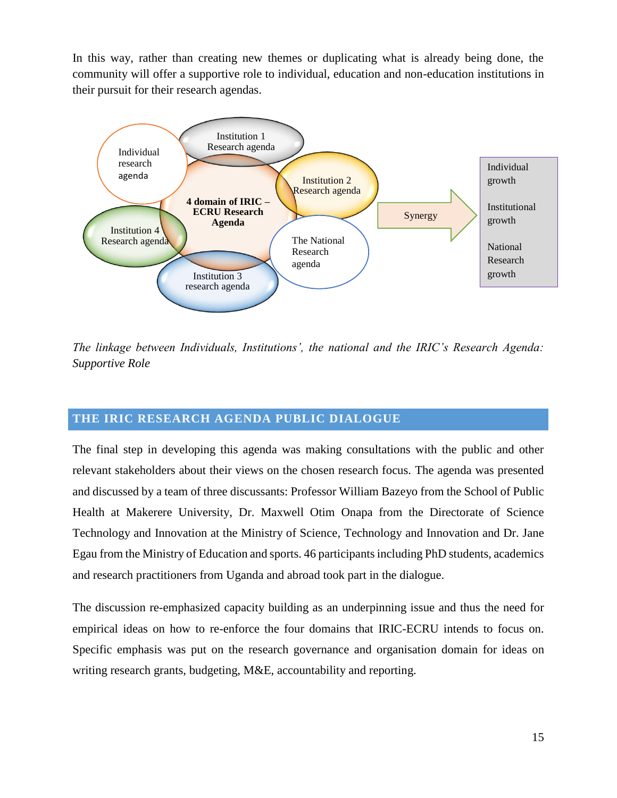In this way, rather than creating new themes or duplicating what is already being done, the community will offer a supportive role to individual, education and non-education institutions in their pursuit for their research agendas.



*The linkage between Individuals, Institutions', the national and the IRIC's Research Agenda: Supportive Role*

## **THE IRIC RESEARCH AGENDA PUBLIC DIALOGUE**

The final step in developing this agenda was making consultations with the public and other relevant stakeholders about their views on the chosen research focus. The agenda was presented and discussed by a team of three discussants: Professor William Bazeyo from the School of Public Health at Makerere University, Dr. Maxwell Otim Onapa from the Directorate of Science Technology and Innovation at the Ministry of Science, Technology and Innovation and Dr. Jane Egau from the Ministry of Education and sports. 46 participants including PhD students, academics and research practitioners from Uganda and abroad took part in the dialogue.

The discussion re-emphasized capacity building as an underpinning issue and thus the need for empirical ideas on how to re-enforce the four domains that IRIC-ECRU intends to focus on. Specific emphasis was put on the research governance and organisation domain for ideas on writing research grants, budgeting, M&E, accountability and reporting.